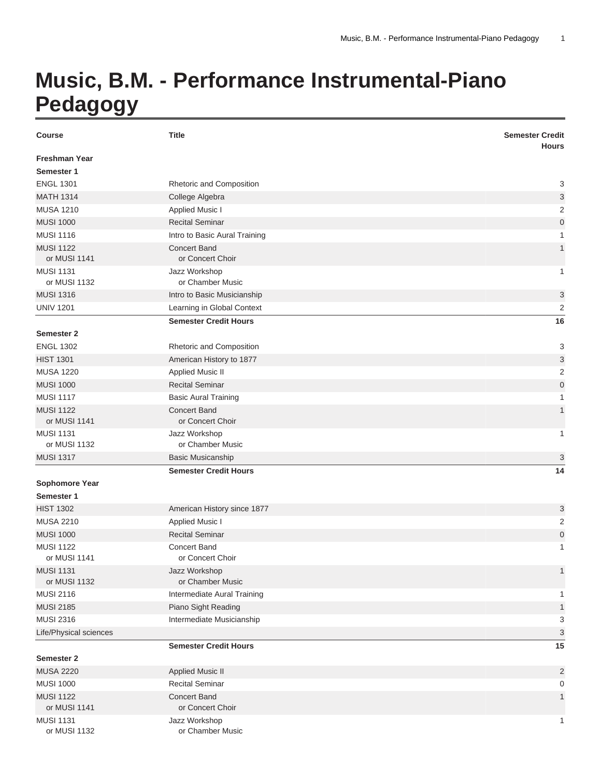## **Music, B.M. - Performance Instrumental-Piano Pedagogy**

| <b>Course</b>                       | <b>Title</b>                            | <b>Semester Credit</b><br><b>Hours</b> |
|-------------------------------------|-----------------------------------------|----------------------------------------|
| <b>Freshman Year</b><br>Semester 1  |                                         |                                        |
| <b>ENGL 1301</b>                    | Rhetoric and Composition                | 3                                      |
| <b>MATH 1314</b>                    | College Algebra                         | 3                                      |
| <b>MUSA 1210</b>                    | <b>Applied Music I</b>                  | 2                                      |
| <b>MUSI 1000</b>                    | <b>Recital Seminar</b>                  | $\mathbf 0$                            |
| <b>MUSI 1116</b>                    | Intro to Basic Aural Training           | $\mathbf{1}$                           |
| <b>MUSI 1122</b><br>or MUSI 1141    | <b>Concert Band</b><br>or Concert Choir | $\mathbf{1}$                           |
| <b>MUSI 1131</b>                    | Jazz Workshop                           | 1                                      |
| or MUSI 1132                        | or Chamber Music                        |                                        |
| <b>MUSI 1316</b>                    | Intro to Basic Musicianship             | 3                                      |
| <b>UNIV 1201</b>                    | Learning in Global Context              | 2                                      |
|                                     | <b>Semester Credit Hours</b>            | 16                                     |
| <b>Semester 2</b>                   |                                         |                                        |
| <b>ENGL 1302</b>                    | Rhetoric and Composition                | 3                                      |
| <b>HIST 1301</b>                    | American History to 1877                | 3                                      |
| <b>MUSA 1220</b>                    | <b>Applied Music II</b>                 | 2                                      |
| <b>MUSI 1000</b>                    | <b>Recital Seminar</b>                  | $\mathsf{O}\xspace$                    |
| <b>MUSI 1117</b>                    | <b>Basic Aural Training</b>             | 1                                      |
| <b>MUSI 1122</b><br>or MUSI 1141    | <b>Concert Band</b><br>or Concert Choir | $\mathbf{1}$                           |
| <b>MUSI 1131</b><br>or MUSI 1132    | Jazz Workshop<br>or Chamber Music       | 1                                      |
| <b>MUSI 1317</b>                    | <b>Basic Musicanship</b>                | 3                                      |
|                                     | <b>Semester Credit Hours</b>            | 14                                     |
| <b>Sophomore Year</b><br>Semester 1 |                                         |                                        |
| <b>HIST 1302</b>                    | American History since 1877             | 3                                      |
| <b>MUSA 2210</b>                    | <b>Applied Music I</b>                  | 2                                      |
| <b>MUSI 1000</b>                    | <b>Recital Seminar</b>                  | 0                                      |
| <b>MUSI 1122</b><br>or MUSI 1141    | <b>Concert Band</b><br>or Concert Choir | 1                                      |
| <b>MUSI 1131</b><br>or MUSI 1132    | Jazz Workshop<br>or Chamber Music       | 1                                      |
| <b>MUSI 2116</b>                    | Intermediate Aural Training             | 1                                      |
| <b>MUSI 2185</b>                    | Piano Sight Reading                     | 1                                      |
| <b>MUSI 2316</b>                    | Intermediate Musicianship               | 3                                      |
| Life/Physical sciences              |                                         | 3                                      |
|                                     | <b>Semester Credit Hours</b>            | 15                                     |
| <b>Semester 2</b>                   |                                         |                                        |
| <b>MUSA 2220</b>                    | <b>Applied Music II</b>                 | 2                                      |
| <b>MUSI 1000</b>                    | <b>Recital Seminar</b>                  | 0                                      |
| <b>MUSI 1122</b><br>or MUSI 1141    | <b>Concert Band</b><br>or Concert Choir | $\mathbf{1}$                           |
| <b>MUSI 1131</b><br>or MUSI 1132    | Jazz Workshop<br>or Chamber Music       | 1                                      |